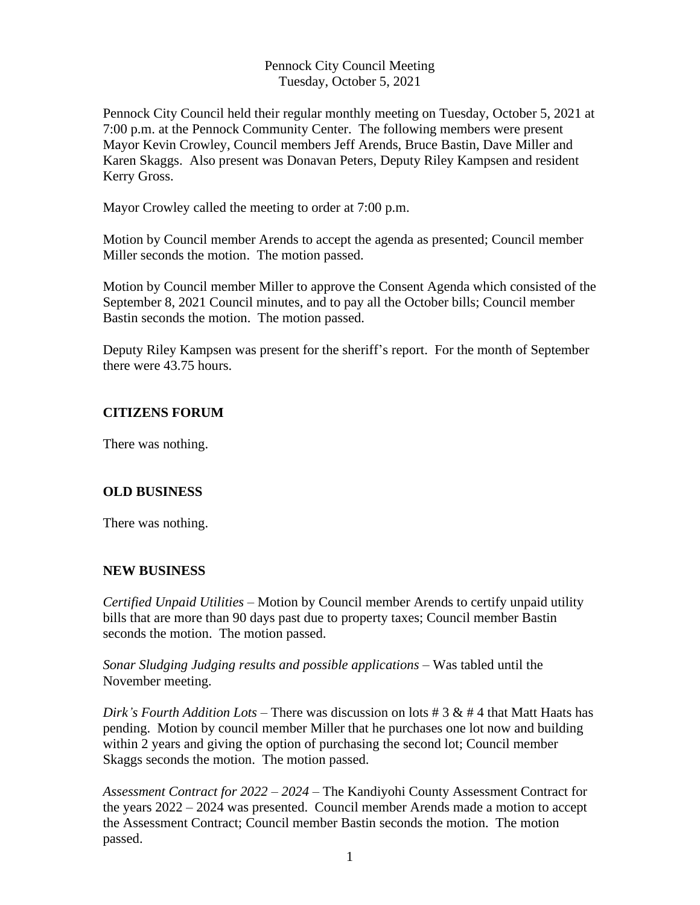#### Pennock City Council Meeting Tuesday, October 5, 2021

Pennock City Council held their regular monthly meeting on Tuesday, October 5, 2021 at 7:00 p.m. at the Pennock Community Center. The following members were present Mayor Kevin Crowley, Council members Jeff Arends, Bruce Bastin, Dave Miller and Karen Skaggs. Also present was Donavan Peters, Deputy Riley Kampsen and resident Kerry Gross.

Mayor Crowley called the meeting to order at 7:00 p.m.

Motion by Council member Arends to accept the agenda as presented; Council member Miller seconds the motion. The motion passed.

Motion by Council member Miller to approve the Consent Agenda which consisted of the September 8, 2021 Council minutes, and to pay all the October bills; Council member Bastin seconds the motion. The motion passed.

Deputy Riley Kampsen was present for the sheriff's report. For the month of September there were 43.75 hours.

# **CITIZENS FORUM**

There was nothing.

## **OLD BUSINESS**

There was nothing.

## **NEW BUSINESS**

*Certified Unpaid Utilities* – Motion by Council member Arends to certify unpaid utility bills that are more than 90 days past due to property taxes; Council member Bastin seconds the motion. The motion passed.

*Sonar Sludging Judging results and possible applications –* Was tabled until the November meeting.

*Dirk's Fourth Addition Lots –* There was discussion on lots # 3 & # 4 that Matt Haats has pending. Motion by council member Miller that he purchases one lot now and building within 2 years and giving the option of purchasing the second lot; Council member Skaggs seconds the motion. The motion passed.

*Assessment Contract for 2022 – 2024 –* The Kandiyohi County Assessment Contract for the years 2022 – 2024 was presented. Council member Arends made a motion to accept the Assessment Contract; Council member Bastin seconds the motion. The motion passed.